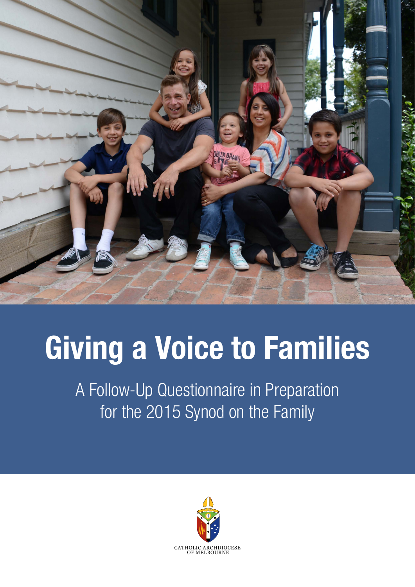

## Giving a Voice to Families

A Follow-Up Questionnaire in Preparation for the 2015 Synod on the Family

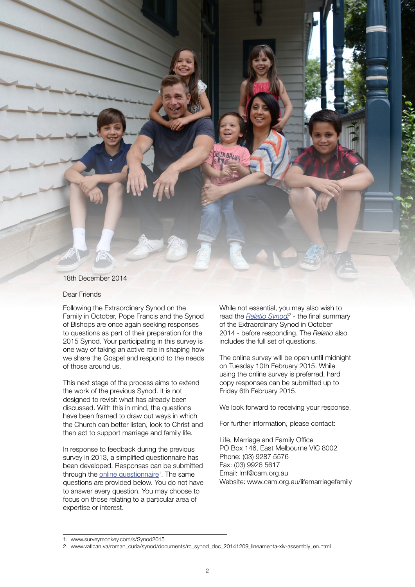

## Dear Friends

Following the Extraordinary Synod on the Family in October, Pope Francis and the Synod of Bishops are once again seeking responses to questions as part of their preparation for the 2015 Synod. Your participating in this survey is one way of taking an active role in shaping how we share the Gospel and respond to the needs of those around us.

This next stage of the process aims to extend the work of the previous Synod. It is not designed to revisit what has already been discussed. With this in mind, the questions have been framed to draw out ways in which the Church can better listen, look to Christ and then act to support marriage and family life.

In response to feedback during the previous survey in 2013, a simplified questionnaire has been developed. Responses can be submitted through the **[online questionnaire](http://www.surveymonkey.com/s/Synod2015)<sup>1</sup>**. The same questions are provided below. You do not have to answer every question. You may choose to focus on those relating to a particular area of expertise or interest.

While not essential, you may also wish to read the **[Relatio Synodi](http://www.vatican.va/roman_curia/synod/documents/rc_synod_doc_20141209_lineamenta-xiv-assembly_en.html)<sup>2</sup>** - the final summary of the Extraordinary Synod in October 2014 - before responding. The *Relatio* also includes the full set of questions.

The online survey will be open until midnight on Tuesday 10th February 2015. While using the online survey is preferred, hard copy responses can be submitted up to Friday 6th February 2015.

We look forward to receiving your response.

For further information, please contact:

Life, Marriage and Family Office PO Box 146, East Melbourne VIC 8002 Phone: (03) 9287 5576 Fax: (03) 9926 5617 Email: lmf@cam.org.au Website: www.cam.org.au/lifemarriagefamily

<sup>1.</sup> www.surveymonkey.com/s/Synod2015

<sup>2.</sup> www.vatican.va/roman\_curia/synod/documents/rc\_synod\_doc\_20141209\_lineamenta-xiv-assembly\_en.html